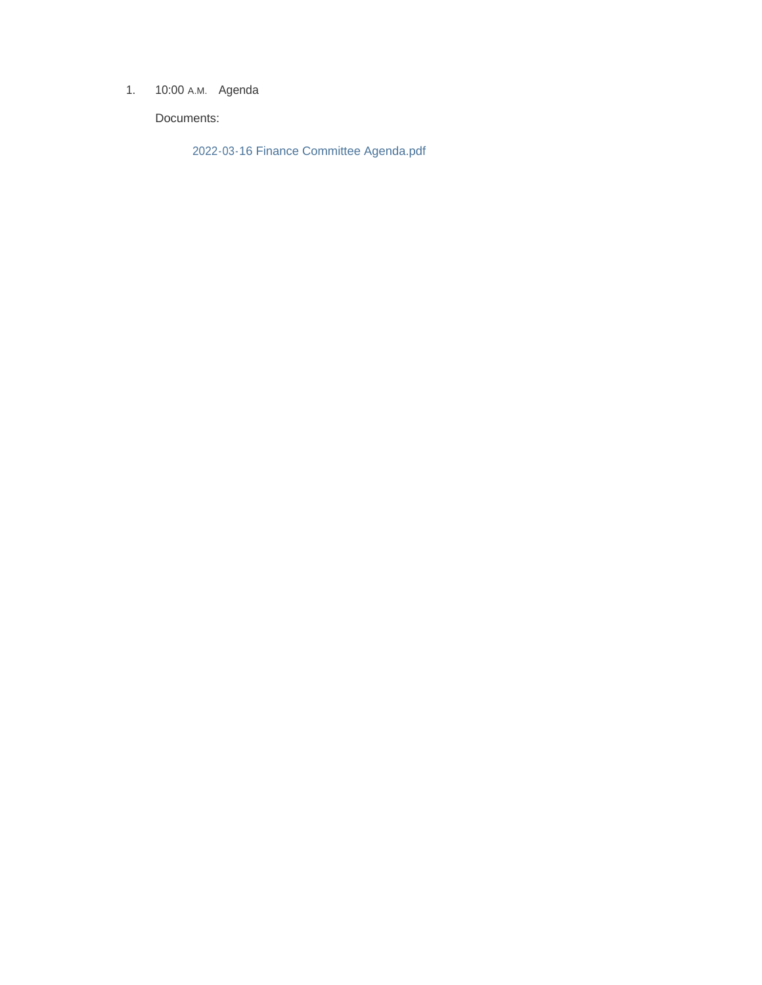1. 10:00 A.M. Agenda

Documents:

2022-03-16 Finance Committee Agenda.pdf